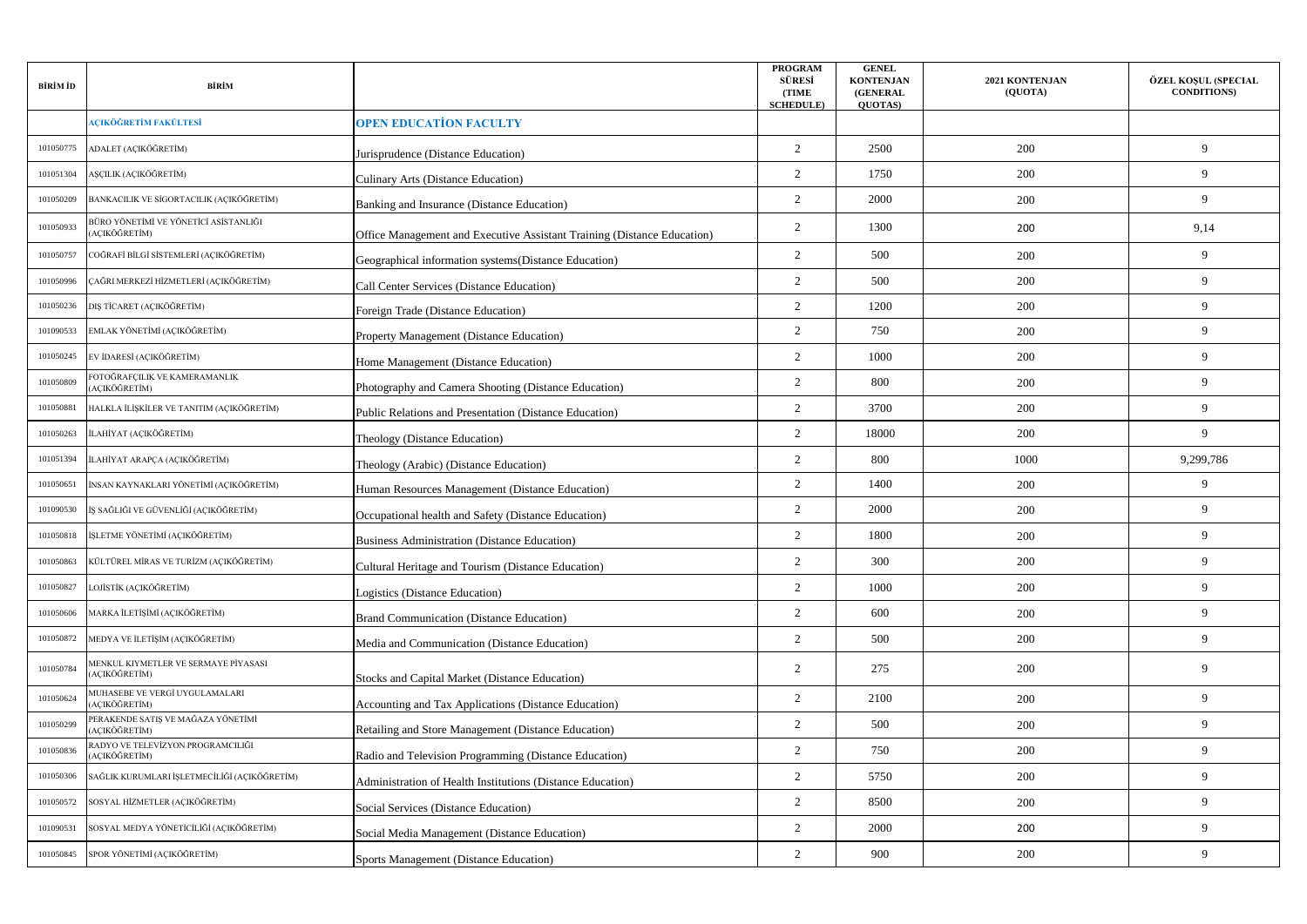| BİRİM İD  | BİRİM                                                  |                                                                         | <b>PROGRAM</b><br><b>SÜRESI</b><br>(TIME<br><b>SCHEDULE</b> ) | <b>GENEL</b><br><b>KONTENJAN</b><br>(GENERAL<br><b>OUOTAS</b> ) | 2021 KONTENJAN<br>(QUOTA) | ÖZEL KOŞUL (SPECIAL<br><b>CONDITIONS)</b> |
|-----------|--------------------------------------------------------|-------------------------------------------------------------------------|---------------------------------------------------------------|-----------------------------------------------------------------|---------------------------|-------------------------------------------|
|           | AÇIKÖĞRETİM FAKÜLTESİ                                  | <b>OPEN EDUCATION FACULTY</b>                                           |                                                               |                                                                 |                           |                                           |
| 101050775 | ADALET (AÇIKÖĞRETİM)                                   | Jurisprudence (Distance Education)                                      | 2                                                             | 2500                                                            | 200                       | 9                                         |
| 101051304 | AŞÇILIK (AÇIKÖĞRETİM)                                  | <b>Culinary Arts (Distance Education)</b>                               | $\overline{2}$                                                | 1750                                                            | 200                       | 9                                         |
| 101050209 | BANKACILIK VE SİGORTACILIK (AÇIKÖĞRETİM)               | Banking and Insurance (Distance Education)                              | 2                                                             | 2000                                                            | 200                       | 9                                         |
| 101050933 | BÜRO YÖNETİMİ VE YÖNETİCİ ASİSTANLIĞI<br>(AÇIKÖĞRETİM) | Office Management and Executive Assistant Training (Distance Education) | 2                                                             | 1300                                                            | 200                       | 9,14                                      |
| 101050757 | COĞRAFİ BİLGİ SİSTEMLERİ (AÇIKÖĞRETİM)                 | Geographical information systems (Distance Education)                   | $\overline{2}$                                                | 500                                                             | 200                       | 9                                         |
| 101050996 | ÇAĞRI MERKEZİ HİZMETLERİ (AÇIKÖĞRETİM)                 | Call Center Services (Distance Education)                               | $\overline{2}$                                                | 500                                                             | 200                       | 9                                         |
| 101050236 | DIŞ TİCARET (AÇIKÖĞRETİM)                              | Foreign Trade (Distance Education)                                      | $\overline{2}$                                                | 1200                                                            | 200                       | 9                                         |
| 101090533 | EMLAK YÖNETİMİ (AÇIKÖĞRETİM)                           | <b>Property Management (Distance Education)</b>                         | 2                                                             | 750                                                             | 200                       | 9                                         |
| 101050245 | EV İDARESİ (AÇIKÖĞRETİM)                               | Home Management (Distance Education)                                    | $\overline{2}$                                                | 1000                                                            | 200                       | 9                                         |
| 101050809 | OTOĞRAFÇILIK VE KAMERAMANLIK<br>AÇIKÖĞRETİM)           | Photography and Camera Shooting (Distance Education)                    | 2                                                             | 800                                                             | 200                       | 9                                         |
| 101050881 | HALKLA İLİŞKİLER VE TANITIM (AÇIKÖĞRETİM)              | Public Relations and Presentation (Distance Education)                  | $\overline{2}$                                                | 3700                                                            | 200                       | 9                                         |
| 101050263 | İLAHİYAT (ACIKÖĞRETİM)                                 | Theology (Distance Education)                                           | $\overline{2}$                                                | 18000                                                           | 200                       | 9                                         |
| 101051394 | İLAHİYAT ARAPÇA (AÇIKÖĞRETİM)                          | Theology (Arabic) (Distance Education)                                  | $\overline{2}$                                                | 800                                                             | 1000                      | 9,299,786                                 |
| 101050651 | İNSAN KAYNAKLARI YÖNETİMİ (AÇIKÖĞRETİM)                | Human Resources Management (Distance Education)                         | $\overline{2}$                                                | 1400                                                            | 200                       | 9                                         |
| 101090530 | İŞ SAĞLIĞI VE GÜVENLİĞİ (AÇIKÖĞRETİM)                  | Occupational health and Safety (Distance Education)                     | $\overline{2}$                                                | 2000                                                            | 200                       | 9                                         |
| 101050818 | İŞLETME YÖNETİMİ (AÇIKÖĞRETİM)                         | <b>Business Administration (Distance Education)</b>                     | $\overline{2}$                                                | 1800                                                            | 200                       | 9                                         |
| 101050863 | KÜLTÜREL MİRAS VE TURİZM (AÇIKÖĞRETİM)                 | Cultural Heritage and Tourism (Distance Education)                      | $\overline{2}$                                                | 300                                                             | 200                       | 9                                         |
| 101050827 | LOJİSTİK (AÇIKÖĞRETİM)                                 | Logistics (Distance Education)                                          | $\overline{2}$                                                | 1000                                                            | 200                       | 9                                         |
| 101050606 | MARKA İLETİŞİMİ (AÇIKÖĞRETİM)                          | <b>Brand Communication (Distance Education)</b>                         | 2                                                             | 600                                                             | 200                       | 9                                         |
| 101050872 | MEDYA VE İLETİŞİM (AÇIKÖĞRETİM)                        | Media and Communication (Distance Education)                            | $\overline{2}$                                                | 500                                                             | 200                       | 9                                         |
| 101050784 | MENKUL KIYMETLER VE SERMAYE PİYASASI<br>ACIKÖĞRETİM)   | <b>Stocks and Capital Market (Distance Education)</b>                   | $\overline{2}$                                                | 275                                                             | 200                       | 9                                         |
| 101050624 | MUHASEBE VE VERGİ UYGULAMALARI<br>ACIKÖĞRETİM)         | <b>Accounting and Tax Applications (Distance Education)</b>             | $\overline{2}$                                                | 2100                                                            | 200                       | 9                                         |
| 101050299 | PERAKENDE SATIŞ VE MAĞAZA YÖNETİMİ<br>ACIKÖĞRETİM)     | <b>Retailing and Store Management (Distance Education)</b>              | $\overline{2}$                                                | 500                                                             | 200                       | 9                                         |
| 101050836 | ADYO VE TELEVİZYON PROGRAMCILIĞI<br>AÇIKÖĞRETİM)       | Radio and Television Programming (Distance Education)                   | $\overline{2}$                                                | 750                                                             | 200                       | 9                                         |
| 101050306 | SAĞLIK KURUMLARI İŞLETMECİLİĞİ (AÇIKÖĞRETİM)           | Administration of Health Institutions (Distance Education)              | $\overline{2}$                                                | 5750                                                            | 200                       | 9                                         |
| 101050572 | SOSYAL HİZMETLER (AÇIKÖĞRETİM)                         | <b>Social Services (Distance Education)</b>                             | 2                                                             | 8500                                                            | 200                       | 9                                         |
| 101090531 | SOSYAL MEDYA YÖNETİCİLİĞİ (AÇIKÖĞRETİM)                | Social Media Management (Distance Education)                            | $\overline{2}$                                                | 2000                                                            | 200                       | 9                                         |
| 101050845 | SPOR YÖNETİMİ (AÇIKÖĞRETİM)                            | Sports Management (Distance Education)                                  | 2                                                             | 900                                                             | 200                       | 9                                         |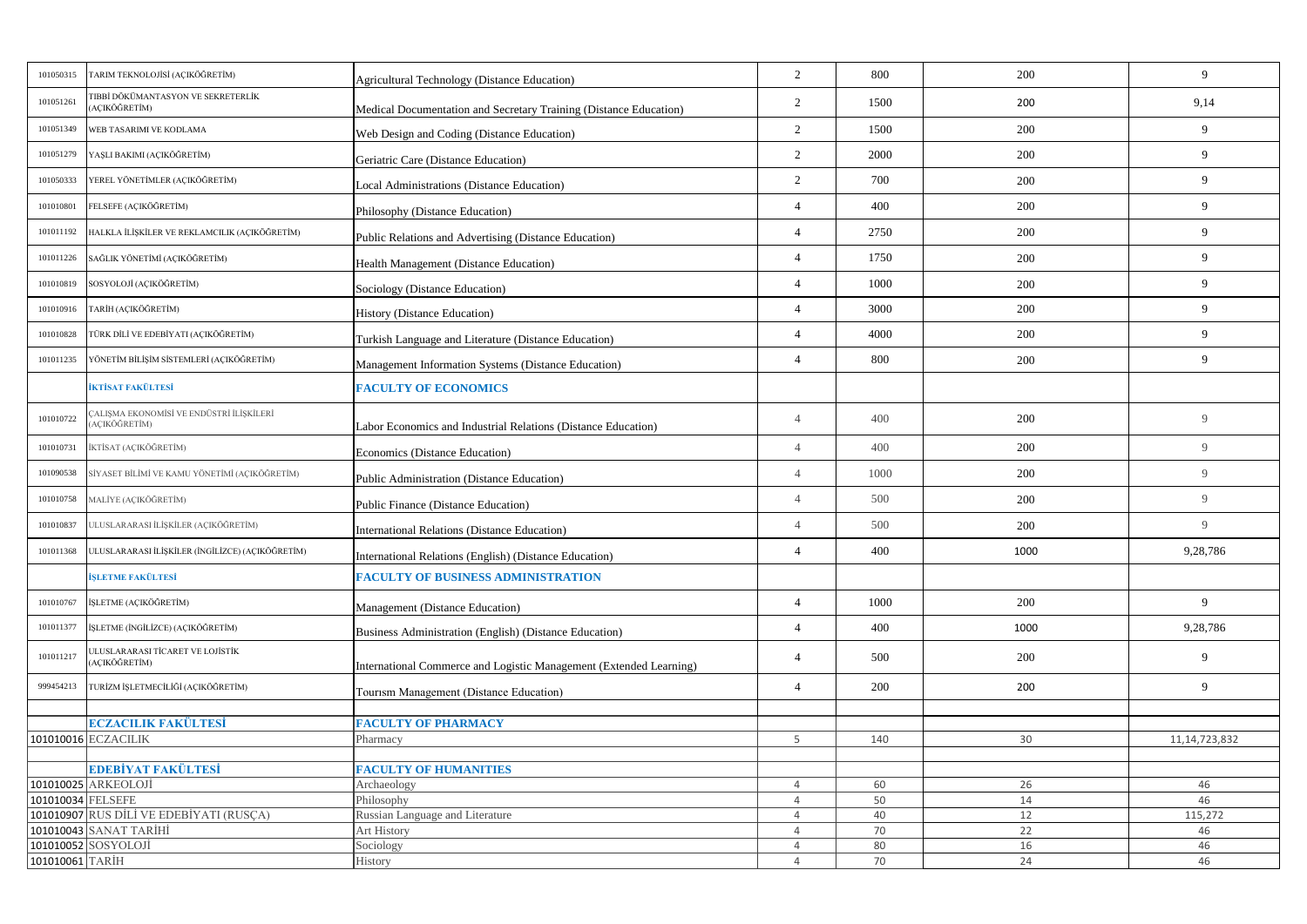| 101050315         | TARIM TEKNOLOJİSİ (AÇIKÖĞRETİM)                         | <b>Agricultural Technology (Distance Education)</b>                | 2              | 800  | 200  | 9                |
|-------------------|---------------------------------------------------------|--------------------------------------------------------------------|----------------|------|------|------------------|
| 101051261         | TIBBİ DÖKÜMANTASYON VE SEKRETERLİK<br>AÇIKÖĞRETİM)      | Medical Documentation and Secretary Training (Distance Education)  | 2              | 1500 | 200  | 9,14             |
| 101051349         | WEB TASARIMI VE KODLAMA                                 | Web Design and Coding (Distance Education)                         | 2              | 1500 | 200  | 9                |
| 101051279         | YAŞLI BAKIMI (AÇIKÖĞRETİM)                              | Geriatric Care (Distance Education)                                | $\overline{2}$ | 2000 | 200  | 9                |
| 101050333         | YEREL YÖNETİMLER (AÇIKÖĞRETİM)                          | <b>Local Administrations (Distance Education)</b>                  | $\overline{2}$ | 700  | 200  | 9                |
| 101010801         | FELSEFE (AÇIKÖĞRETİM)                                   | Philosophy (Distance Education)                                    | $\overline{4}$ | 400  | 200  | 9                |
| 101011192         | HALKLA İLİŞKİLER VE REKLAMCILIK (AÇIKÖĞRETİM)           | Public Relations and Advertising (Distance Education)              | $\overline{4}$ | 2750 | 200  | 9                |
| 101011226         | SAĞLIK YÖNETİMİ (AÇIKÖĞRETİM)                           | <b>Health Management (Distance Education)</b>                      | $\overline{4}$ | 1750 | 200  | 9                |
| 101010819         | SOSYOLOJİ (AÇIKÖĞRETİM)                                 | Sociology (Distance Education)                                     | $\overline{4}$ | 1000 | 200  | 9                |
| 101010916         | TARİH (AÇIKÖĞRETİM)                                     | <b>History (Distance Education)</b>                                | $\Delta$       | 3000 | 200  | 9                |
| 101010828         | TÜRK DİLİ VE EDEBİYATI (AÇIKÖĞRETİM)                    | Turkish Language and Literature (Distance Education)               | $\overline{4}$ | 4000 | 200  | 9                |
| 101011235         | YÖNETİM BİLİŞİM SİSTEMLERİ (AÇIKÖĞRETİM)                | Management Information Systems (Distance Education)                | $\overline{4}$ | 800  | 200  | 9                |
|                   | İKTİSAT FAKÜLTESİ                                       | <b>FACULTY OF ECONOMICS</b>                                        |                |      |      |                  |
| 101010722         | ALIŞMA EKONOMİSİ VE ENDÜSTRİ İLİŞKİLERİ<br>AÇIKÖĞRETİM) | Labor Economics and Industrial Relations (Distance Education)      | $\overline{4}$ | 400  | 200  | 9                |
| 101010731         | İKTİSAT (AÇIKÖĞRETİM)                                   | Economics (Distance Education)                                     | $\overline{4}$ | 400  | 200  | 9                |
| 101090538         | SİYASET BİLİMİ VE KAMU YÖNETİMİ (AÇIKÖĞRETİM)           | Public Administration (Distance Education)                         | $\overline{4}$ | 1000 | 200  | 9                |
| 101010758         | MALİYE (AÇIKÖĞRETİM)                                    | <b>Public Finance (Distance Education)</b>                         | $\overline{4}$ | 500  | 200  | $\overline{9}$   |
| 101010837         | ULUSLARARASI İLİŞKİLER (AÇIKÖĞRETİM)                    | <b>International Relations (Distance Education)</b>                | $\overline{4}$ | 500  | 200  | $\overline{9}$   |
| 101011368         | ULUSLARARASI İLİŞKİLER (İNGİLİZCE) (AÇIKÖĞRETİM)        | International Relations (English) (Distance Education)             | $\overline{4}$ | 400  | 1000 | 9,28,786         |
|                   | İSLETME FAKÜLTESİ                                       | <b>FACULTY OF BUSINESS ADMINISTRATION</b>                          |                |      |      |                  |
| 101010767         | İŞLETME (AÇIKÖĞRETİM)                                   | Management (Distance Education)                                    | $\overline{4}$ | 1000 | 200  | 9                |
| 101011377         | İŞLETME (İNGİLİZCE) (AÇIKÖĞRETİM)                       | Business Administration (English) (Distance Education)             | $\overline{4}$ | 400  | 1000 | 9,28,786         |
| 101011217         | JLUSLARARASI TİCARET VE LOJİSTİK<br>ACIKÖĞRETİM)        | International Commerce and Logistic Management (Extended Learning) | $\overline{4}$ | 500  | 200  | 9                |
| 999454213         | TURİZM İŞLETMECİLİĞİ (AÇIKÖĞRETİM)                      | Tourism Management (Distance Education)                            | $\overline{4}$ | 200  | 200  | 9                |
|                   | <b>ECZACILIK FAKÜLTESİ</b>                              | <b>FACULTY OF PHARMACY</b>                                         |                |      |      |                  |
|                   | 101010016 ECZACILIK                                     | Pharmacy                                                           | 5              | 140  | 30   | 11, 14, 723, 832 |
|                   |                                                         |                                                                    |                |      |      |                  |
|                   | EDEBİYAT FAKÜLTESİ                                      | <b>FACULTY OF HUMANITIES</b>                                       |                |      |      |                  |
|                   | 101010025 ARKEOLOJİ                                     | Archaeology                                                        | $\overline{4}$ | 60   | 26   | 46               |
| 101010034 FELSEFE |                                                         | Philosophy                                                         | $\overline{4}$ | 50   | 14   | 46               |
|                   | 101010907 RUS DİLİ VE EDEBİYATI (RUSÇA)                 | Russian Language and Literature                                    | $\overline{4}$ | 40   | 12   | 115,272          |
|                   | 101010043 SANAT TARİHİ                                  | Art History                                                        | $\overline{4}$ | 70   | 22   | 46               |
|                   | 101010052 SOSYOLOJİ                                     | Sociology                                                          | $\overline{4}$ | 80   | 16   | 46               |
| 101010061 TARİH   |                                                         | History                                                            | $\overline{4}$ | 70   | 24   | 46               |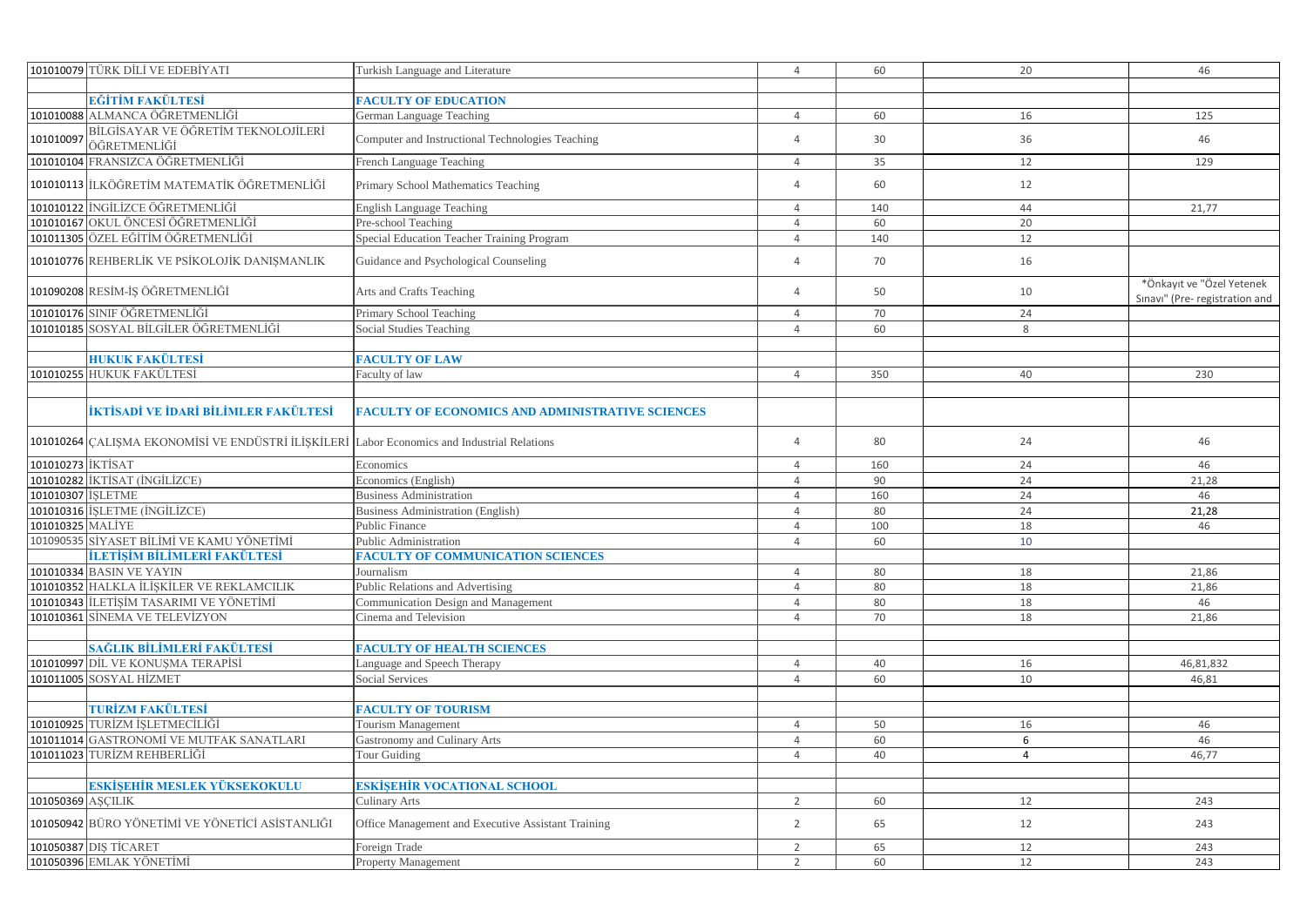|                   | 101010079 TÜRK DİLİ VE EDEBİYATI                    | Turkish Language and Literature                         | $\overline{4}$ | 60  | 20           | 46                                                          |
|-------------------|-----------------------------------------------------|---------------------------------------------------------|----------------|-----|--------------|-------------------------------------------------------------|
|                   |                                                     |                                                         |                |     |              |                                                             |
|                   | EĞİTİM FAKÜLTESİ                                    | <b>FACULTY OF EDUCATION</b>                             |                |     |              |                                                             |
|                   | 101010088 ALMANCA ÖĞRETMENLİĞİ                      | German Language Teaching                                | $\overline{4}$ | 60  | 16           | 125                                                         |
| 101010097         | BİLGİSAYAR VE ÖĞRETİM TEKNOLOJİLERİ<br>ÖĞRETMENLİĞİ | Computer and Instructional Technologies Teaching        | $\overline{4}$ | 30  | 36           | 46                                                          |
|                   | 101010104 FRANSIZCA ÖĞRETMENLİĞİ                    | French Language Teaching                                | $\overline{4}$ | 35  | 12           | 129                                                         |
|                   | 101010113 ILKÖĞRETİM MATEMATİK ÖĞRETMENLİĞİ         | Primary School Mathematics Teaching                     | $\overline{a}$ | 60  | 12           |                                                             |
|                   | 101010122 INGILIZCE ÖĞRETMENLIĞİ                    | English Language Teaching                               | $\overline{4}$ | 140 | 44           | 21,77                                                       |
|                   | 101010167 OKUL ÖNCESİ ÖĞRETMENLİĞİ                  | Pre-school Teaching                                     | $\overline{4}$ | 60  | 20           |                                                             |
|                   | 101011305 ÖZEL EĞİTİM ÖĞRETMENLİĞİ                  | Special Education Teacher Training Program              | $\overline{4}$ | 140 | 12           |                                                             |
|                   | 101010776 REHBERLİK VE PSİKOLOJİK DANIŞMANLIK       | Guidance and Psychological Counseling                   | $\overline{4}$ | 70  | 16           |                                                             |
|                   | 101090208 RESİM-İŞ ÖĞRETMENLİĞİ                     | Arts and Crafts Teaching                                | $\Delta$       | 50  | 10           | *Önkayıt ve "Özel Yetenek<br>Sınavı" (Pre- registration and |
|                   | 101010176 SINIF ÖĞRETMENLİĞİ                        | Primary School Teaching                                 | $\overline{4}$ | 70  | 24           |                                                             |
|                   | 101010185 SOSYAL BİLGİLER ÖĞRETMENLİĞİ              | Social Studies Teaching                                 | $\overline{4}$ | 60  | $\mathsf{R}$ |                                                             |
|                   |                                                     |                                                         |                |     |              |                                                             |
|                   | <b>HUKUK FAKÜLTESİ</b>                              | <b>FACULTY OF LAW</b>                                   |                |     |              |                                                             |
|                   | 101010255 HUKUK FAKÜLTESİ                           | Faculty of law                                          | $\overline{4}$ | 350 | 40           | 230                                                         |
|                   |                                                     |                                                         |                |     |              |                                                             |
|                   | İKTİSADİ VE İDARİ BİLİMLER FAKÜLTESİ                | <b>FACULTY OF ECONOMICS AND ADMINISTRATIVE SCIENCES</b> |                |     |              |                                                             |
|                   | 101010264 ÇALIŞMA EKONOMİSİ VE ENDÜSTRİ İLİŞKİLERİ  | Labor Economics and Industrial Relations                | $\Delta$       | 80  | 24           | 46                                                          |
| 101010273 IKTISAT |                                                     | Economics                                               | $\overline{4}$ | 160 | 24           | 46                                                          |
|                   | 101010282 İKTİSAT (İNGİLİZCE)                       | Economics (English)                                     | $\overline{4}$ | 90  | 24           | 21,28                                                       |
| 101010307 ISLETME |                                                     | <b>Business Administration</b>                          | $\overline{4}$ | 160 | 24           | 46                                                          |
|                   | 101010316  İŞLETME (İNGİLİZCE)                      | Business Administration (English)                       | $\overline{4}$ | 80  | 24           | 21,28                                                       |
| 101010325 MALİYE  |                                                     | Public Finance                                          | $\overline{4}$ | 100 | 18           | 46                                                          |
|                   | 101090535 SİYASET BİLİMİ VE KAMU YÖNETİMİ           | Public Administration                                   | $\overline{4}$ | 60  | 10           |                                                             |
|                   | İLETİSİM BİLİMLERİ FAKÜLTESİ                        | <b>FACULTY OF COMMUNICATION SCIENCES</b>                |                |     |              |                                                             |
|                   | 101010334 BASIN VE YAYIN                            | Journalism                                              | $\overline{4}$ | 80  | 18           | 21,86                                                       |
|                   | 101010352 HALKLA İLİŞKİLER VE REKLAMCILIK           | Public Relations and Advertising                        | $\overline{4}$ | 80  | 18           | 21,86                                                       |
|                   | 101010343 ILETISIM TASARIMI VE YÖNETIMI             | Communication Design and Management                     | $\overline{4}$ | 80  | 18           | 46                                                          |
|                   | 101010361 SİNEMA VE TELEVİZYON                      | Cinema and Television                                   | $\overline{4}$ | 70  | 18           | 21,86                                                       |
|                   |                                                     |                                                         |                |     |              |                                                             |
|                   | SAĞLIK BİLİMLERİ FAKÜLTESİ                          | <b>FACULTY OF HEALTH SCIENCES</b>                       |                |     |              |                                                             |
|                   | 101010997 DIL VE KONUSMA TERAPISI                   | Language and Speech Therapy                             | $\overline{4}$ | 40  | 16           | 46,81,832                                                   |
|                   | 101011005 SOSYAL HİZMET                             | Social Services                                         | $\overline{4}$ | 60  | 10           | 46,81                                                       |
|                   |                                                     |                                                         |                |     |              |                                                             |
|                   | TURİZM FAKÜLTESİ                                    | <b>FACULTY OF TOURISM</b>                               |                |     |              |                                                             |
|                   | 101010925 TURİZM İSLETMECİLİĞİ                      | <b>Tourism Management</b>                               | $\overline{4}$ | 50  | 16           | 46                                                          |
|                   | 101011014 GASTRONOMİ VE MUTFAK SANATLARI            | Gastronomy and Culinary Arts                            | $\overline{4}$ | 60  | 6            | 46                                                          |
|                   | 101011023 TURİZM REHBERLİĞİ                         | <b>Tour Guiding</b>                                     | $\overline{4}$ | 40  | 4            | 46,77                                                       |
|                   |                                                     |                                                         |                |     |              |                                                             |
|                   | <mark>eskîşehîr meslek yüksekokul</mark> u          | <b>ESKİŞEHİR VOCATIONAL SCHOOL</b>                      |                |     |              |                                                             |
| 101050369 AŞÇILIK |                                                     | Culinary Arts                                           | $\overline{2}$ | 60  | 12           | 243                                                         |
|                   | 101050942 BÜRO YÖNETİMİ VE YÖNETİCİ ASİSTANLIĞI     | Office Management and Executive Assistant Training      | 2              | 65  | 12           | 243                                                         |
|                   | 101050387 DIS TICARET                               | Foreign Trade                                           | $\overline{2}$ | 65  | 12           | 243                                                         |
|                   | 101050396 EMLAK YÖNETİMİ                            | <b>Property Management</b>                              | 2              | 60  | 12           | 243                                                         |
|                   |                                                     |                                                         |                |     |              |                                                             |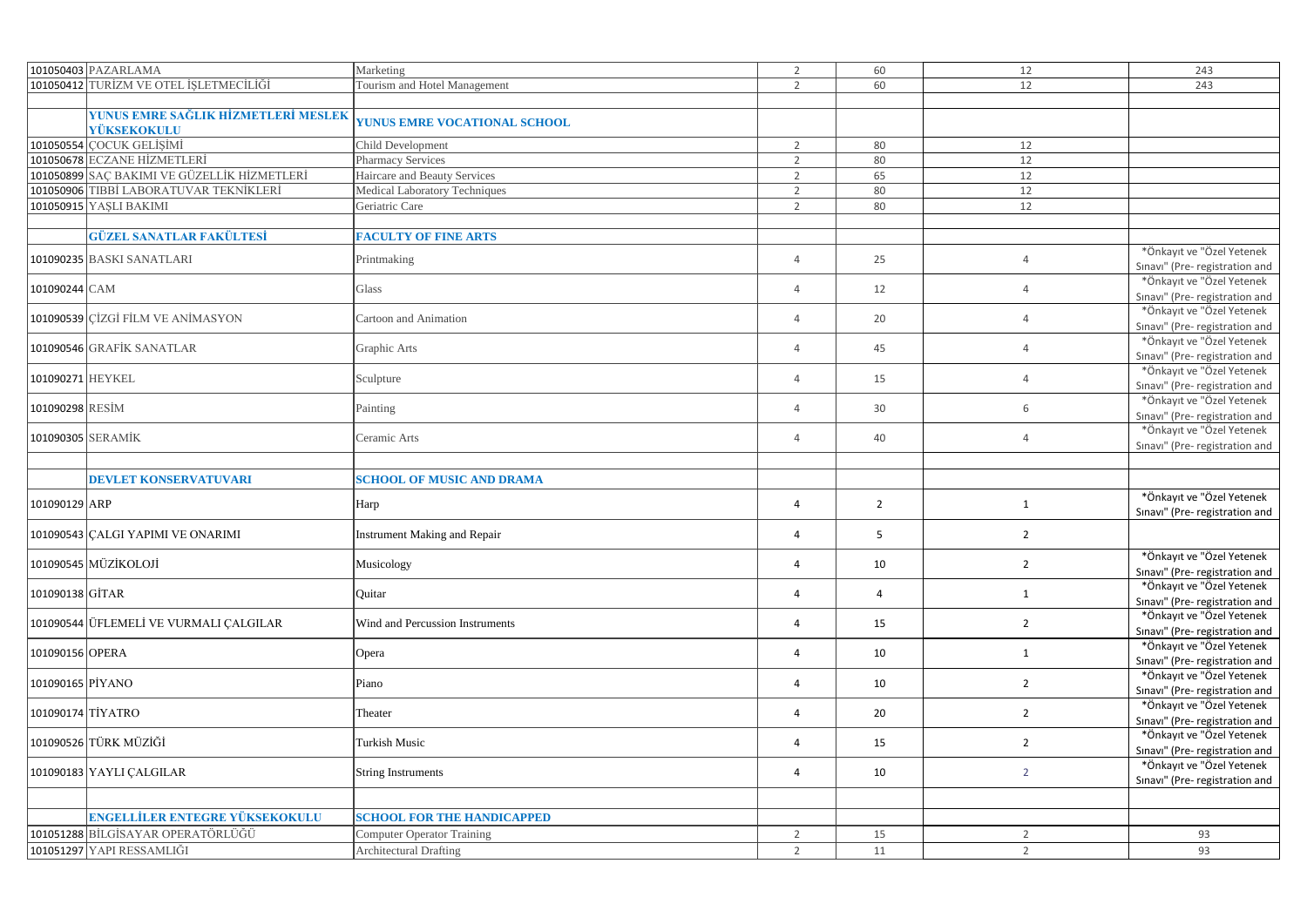|                  | 101050403 PAZARLAMA                                | Marketing                           | $\overline{2}$ | 60             | 12             | 243                                                         |
|------------------|----------------------------------------------------|-------------------------------------|----------------|----------------|----------------|-------------------------------------------------------------|
|                  | 101050412 TURİZM VE OTEL İŞLETMECİLİĞİ             | Tourism and Hotel Management        | $\overline{2}$ | 60             | 12             | 243                                                         |
|                  |                                                    |                                     |                |                |                |                                                             |
|                  | YUNUS EMRE SAĞLIK HİZMETLERİ MESLEK<br>YÜKSEKOKULU | <b>YUNUS EMRE VOCATIONAL SCHOOL</b> |                |                |                |                                                             |
|                  | 101050554 COCUK GELİŞİMİ                           | Child Development                   | $\overline{2}$ | 80             | 12             |                                                             |
|                  | 101050678 ECZANE HİZMETLERİ                        | <b>Pharmacy Services</b>            | $\overline{2}$ | 80             | 12             |                                                             |
|                  | 101050899 SAÇ BAKIMI VE GÜZELLİK HİZMETLERİ        | Haircare and Beauty Services        | $\overline{2}$ | 65             | 12             |                                                             |
|                  | 101050906 TIBBİ LABORATUVAR TEKNİKLERİ             | Medical Laboratory Techniques       | $\overline{2}$ | 80             | 12             |                                                             |
|                  | 101050915 YAŞLI BAKIMI                             | Geriatric Care                      | $\overline{2}$ | 80             | 12             |                                                             |
|                  |                                                    |                                     |                |                |                |                                                             |
|                  | <b>GÜZEL SANATLAR FAKÜLTESİ</b>                    | <b>FACULTY OF FINE ARTS</b>         |                |                |                |                                                             |
|                  | 101090235 BASKI SANATLARI                          | Printmaking                         | $\overline{4}$ | 25             | $\overline{4}$ | *Önkayıt ve "Özel Yetenek<br>Sınavı" (Pre- registration and |
| 101090244 CAM    |                                                    | Glass                               | $\overline{4}$ | 12             | $\overline{4}$ | *Önkayıt ve "Özel Yetenek                                   |
|                  |                                                    |                                     |                |                |                | Sınavı" (Pre- registration and                              |
|                  | 101090539 CİZGİ FİLM VE ANİMASYON                  | Cartoon and Animation               | $\overline{4}$ | 20             | $\overline{4}$ | *Önkayıt ve "Özel Yetenek                                   |
|                  |                                                    |                                     |                |                |                | Sınavı" (Pre- registration and                              |
|                  | 101090546 GRAFİK SANATLAR                          | Graphic Arts                        | $\overline{4}$ | 45             | $\overline{4}$ | *Önkayıt ve "Özel Yetenek                                   |
|                  |                                                    |                                     |                |                |                | Sınavı" (Pre- registration and                              |
| 101090271 HEYKEL |                                                    | Sculpture                           | $\overline{4}$ | 15             | $\overline{4}$ | *Önkayıt ve "Özel Yetenek                                   |
|                  |                                                    |                                     |                |                |                | Sınavı" (Pre- registration and                              |
| 101090298 RESİM  |                                                    | Painting                            | $\overline{4}$ | 30             | 6              | *Önkayıt ve "Özel Yetenek                                   |
|                  |                                                    |                                     |                |                |                | Sınavı" (Pre- registration and                              |
|                  | 101090305 SERAMİK                                  | Ceramic Arts                        | $\overline{4}$ | 40             | $\overline{4}$ | *Önkayıt ve "Özel Yetenek                                   |
|                  |                                                    |                                     |                |                |                | Sinavi" (Pre-registration and                               |
|                  |                                                    |                                     |                |                |                |                                                             |
|                  | <b>DEVLET KONSERVATUVARI</b>                       | <b>SCHOOL OF MUSIC AND DRAMA</b>    |                |                |                |                                                             |
| 101090129 ARP    |                                                    |                                     | $\overline{4}$ | $\overline{2}$ | $\mathbf{1}$   | *Önkayıt ve "Özel Yetenek                                   |
|                  |                                                    | Harp                                |                |                |                | Sınavı" (Pre- registration and                              |
|                  | 101090543 CALGI YAPIMI VE ONARIMI                  | <b>Instrument Making and Repair</b> | $\overline{4}$ | 5              | $\overline{2}$ |                                                             |
|                  |                                                    |                                     |                |                |                |                                                             |
|                  | 101090545 MÜZİKOLOJİ                               | Musicology                          | $\overline{4}$ | 10             | $\overline{2}$ | *Önkayıt ve "Özel Yetenek                                   |
|                  |                                                    |                                     |                |                |                | Sinavi" (Pre-registration and                               |
| 101090138 GİTAR  |                                                    | Quitar                              | $\overline{4}$ | $\overline{4}$ | $\mathbf{1}$   | *Önkayıt ve "Özel Yetenek                                   |
|                  |                                                    |                                     |                |                |                | Sınavı" (Pre- registration and                              |
|                  | 101090544 ÜFLEMELİ VE VURMALI ÇALGILAR             | Wind and Percussion Instruments     | $\overline{4}$ | 15             | $\overline{2}$ | *Önkayıt ve "Özel Yetenek                                   |
|                  |                                                    |                                     |                |                |                | Sınavı" (Pre- registration and                              |
| 101090156 OPERA  |                                                    | Opera                               | $\overline{4}$ | 10             | $\mathbf{1}$   | *Önkayıt ve "Özel Yetenek                                   |
|                  |                                                    |                                     |                |                |                | Sınavı" (Pre- registration and                              |
| 101090165 PİYANO |                                                    | Piano                               | 4              | 10             | $\overline{2}$ | *Önkayıt ve "Özel Yetenek                                   |
|                  |                                                    |                                     |                |                |                | Sinavi" (Pre- registration and                              |
|                  | 101090174 TİYATRO                                  | Theater                             | $\overline{4}$ | 20             | $\overline{2}$ | *Önkayıt ve "Özel Yetenek                                   |
|                  |                                                    |                                     |                |                |                | Sınavı" (Pre- registration and                              |
|                  | 101090526 TÜRK MÜZİĞİ                              | Turkish Music                       | $\overline{4}$ | 15             | $\overline{2}$ | *Önkayıt ve "Özel Yetenek                                   |
|                  |                                                    |                                     |                |                |                | Sınavı" (Pre- registration and                              |
|                  | 101090183 YAYLI ÇALGILAR                           | <b>String Instruments</b>           | 4              | 10             | $\overline{2}$ | *Önkayıt ve "Özel Yetenek                                   |
|                  |                                                    |                                     |                |                |                | Sınavı" (Pre- registration and                              |
|                  |                                                    |                                     |                |                |                |                                                             |
|                  | <b>ENGELLİLER ENTEGRE YÜKSEKOKULU</b>              | <b>SCHOOL FOR THE HANDICAPPED</b>   |                |                |                |                                                             |
|                  | 101051288 BİLGİSAYAR OPERATÖRLÜĞÜ                  | Computer Operator Training          | $\overline{2}$ | 15             | $\overline{2}$ | 93                                                          |
|                  | 101051297 YAPI RESSAMLIĞI                          | <b>Architectural Drafting</b>       | $\overline{2}$ | 11             | 2              | 93                                                          |
|                  |                                                    |                                     |                |                |                |                                                             |